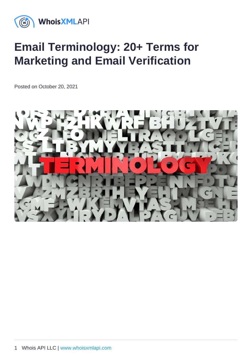# Email Terminology: 20+ Terms for Marketing and Email Verification

Posted on October 20, 2021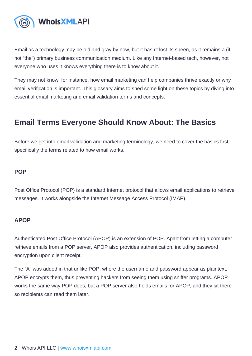Email as a technology may be old and gray by now, but it hasn't lost its sheen, as it remains a (if not "the") primary business communication medium. Like any Internet-based tech, however, not everyone who uses it knows everything there is to know about it.

They may not know, for instance, how email marketing can help companies thrive exactly or why email verification is important. This glossary aims to shed some light on these topics by diving into essential email marketing and email validation terms and concepts.

# Email Terms Everyone Should Know About: The Basics

Before we get into email validation and marketing terminology, we need to cover the basics first, specifically the terms related to how email works.

### POP

Post Office Protocol (POP) is a standard Internet protocol that allows email applications to retrieve messages. It works alongside the Internet Message Access Protocol (IMAP).

# APOP

Authenticated Post Office Protocol (APOP) is an extension of POP. Apart from letting a computer retrieve emails from a POP server, APOP also provides authentication, including password encryption upon client receipt.

The "A" was added in that unlike POP, where the username and password appear as plaintext, APOP encrypts them, thus preventing hackers from seeing them using sniffer programs. APOP works the same way POP does, but a POP server also holds emails for APOP, and they sit there so recipients can read them later.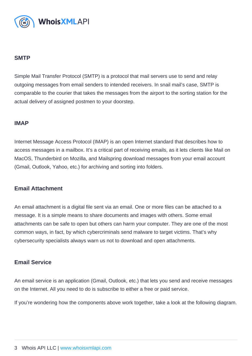### SMTP

Simple Mail Transfer Protocol (SMTP) is a protocol that mail servers use to send and relay outgoing messages from email senders to intended receivers. In snail mail's case, SMTP is comparable to the courier that takes the messages from the airport to the sorting station for the actual delivery of assigned postmen to your doorstep.

#### IMAP

Internet Message Access Protocol (IMAP) is an open Internet standard that describes how to access messages in a mailbox. It's a critical part of receiving emails, as it lets clients like Mail on MacOS, Thunderbird on Mozilla, and Mailspring download messages from your email account (Gmail, Outlook, Yahoo, etc.) for archiving and sorting into folders.

#### Email Attachment

An email attachment is a digital file sent via an email. One or more files can be attached to a message. It is a simple means to share documents and images with others. Some email attachments can be safe to open but others can harm your computer. They are one of the most common ways, in fact, by which cybercriminals send malware to target victims. That's why cybersecurity specialists always warn us not to download and open attachments.

#### Email Service

An email service is an application (Gmail, Outlook, etc.) that lets you send and receive messages on the Internet. All you need to do is subscribe to either a free or paid service.

If you're wondering how the components above work together, take a look at the following diagram.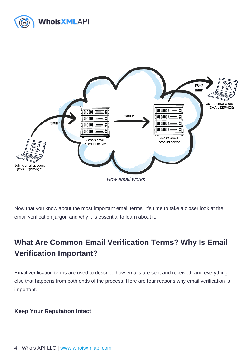How email works

Now that you know about the most important email terms, it's time to take a closer look at the email verification jargon and why it is essential to learn about it.

# What Are Common Email Verification Terms ? Why Is Email Verification Important ?

Email verification terms are used to describe how emails are sent and received, and everything else that happens from both ends of the process. Here are four reasons why email verification is important.

Keep Your Reputation Intact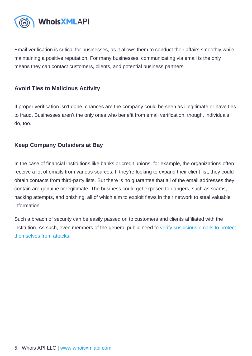Email verification is critical for businesses, as it allows them to conduct their affairs smoothly while maintaining a positive reputation. For many businesses, communicating via email is the only means they can contact customers, clients, and potential business partners.

### Avoid Ties to Malicious Activity

If proper verification isn't done, chances are the company could be seen as illegitimate or have ties to fraud. Businesses aren't the only ones who benefit from email verification, though, individuals do, too.

# Keep Company Outsiders at Bay

In the case of financial institutions like banks or credit unions, for example, the organizations often receive a lot of emails from various sources. If they're looking to expand their client list, they could obtain contacts from third-party lists. But there is no guarantee that all of the email addresses they contain are genuine or legitimate. The business could get exposed to dangers, such as scams, hacking attempts, and phishing, all of which aim to exploit flaws in their network to steal valuable information.

Such a breach of security can be easily passed on to customers and clients affiliated with the institution. As such, even members of the general public need to [verify suspicious emails to protect](https://emailverification.whoisxmlapi.com/blog/why-use-e-mail-verification)  [themselves from attacks](https://emailverification.whoisxmlapi.com/blog/why-use-e-mail-verification).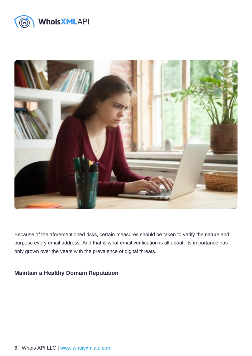Because of the aforementioned risks, certain measures should be taken to verify the nature and purpose every email address. And that is what email verification is all about. Its importance has only grown over the years with the prevalence of digital threats.

Maintain a Healthy Domain Reputation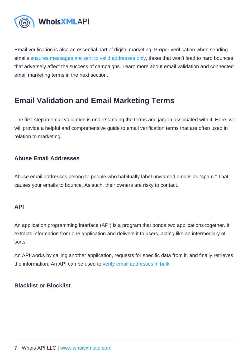Email verification is also an essential part of digital marketing. Proper verification when sending emails [ensures messages are sent to valid addresses only,](https://emailverification.whoisxmlapi.com/blog/how-to-tell-if-email-address-is-valid-6-ways-to-check) those that won't lead to hard bounces that adversely affect the success of campaigns. Learn more about email validation and connected email marketing terms in the next section.

# Email Validation and Email Marketing Terms

The first step in email validation is understanding the terms and jargon associated with it. Here, we will provide a helpful and comprehensive guide to email verification terms that are often used in relation to marketing.

# Abuse Email Addresses

Abuse email addresses belong to people who habitually label unwanted emails as "spam." That causes your emails to bounce. As such, their owners are risky to contact.

#### API

An application programming interface (API) is a program that bonds two applications together. It extracts information from one application and delivers it to users, acting like an intermediary of sorts.

An API works by calling another application, requests for specific data from it, and finally retrieves the information. An API can be used to [verify email addresses in bulk](https://emailverification.whoisxmlapi.com/bulk-api).

Blacklist or Blocklist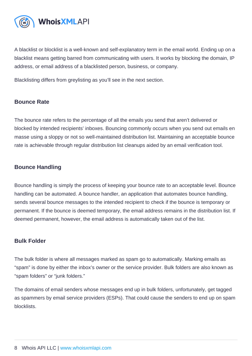A blacklist or blocklist is a well-known and self-explanatory term in the email world. Ending up on a blacklist means getting barred from communicating with users. It works by blocking the domain, IP address, or email address of a blacklisted person, business, or company.

Blacklisting differs from greylisting as you'll see in the next section.

# Bounce Rate

The bounce rate refers to the percentage of all the emails you send that aren't delivered or blocked by intended recipients' inboxes. Bouncing commonly occurs when you send out emails en masse using a sloppy or not so well-maintained distribution list. Maintaining an acceptable bounce rate is achievable through regular distribution list cleanups aided by an email verification tool.

# Bounce Handling

Bounce handling is simply the process of keeping your bounce rate to an acceptable level. Bounce handling can be automated. A bounce handler, an application that automates bounce handling, sends several bounce messages to the intended recipient to check if the bounce is temporary or permanent. If the bounce is deemed temporary, the email address remains in the distribution list. If deemed permanent, however, the email address is automatically taken out of the list.

# Bulk Folder

The bulk folder is where all messages marked as spam go to automatically. Marking emails as "spam" is done by either the inbox's owner or the service provider. Bulk folders are also known as "spam folders" or "junk folders."

The domains of email senders whose messages end up in bulk folders, unfortunately, get tagged as spammers by email service providers (ESPs). That could cause the senders to end up on spam blocklists.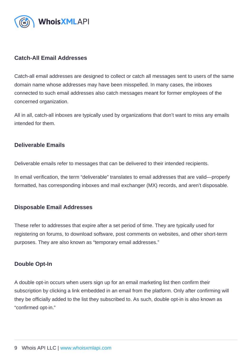### Catch-All Email Addresses

Catch-all email addresses are designed to collect or catch all messages sent to users of the same domain name whose addresses may have been misspelled. In many cases, the inboxes connected to such email addresses also catch messages meant for former employees of the concerned organization.

All in all, catch-all inboxes are typically used by organizations that don't want to miss any emails intended for them.

#### Deliverable Emails

Deliverable emails refer to messages that can be delivered to their intended recipients.

In email verification, the term "deliverable" translates to email addresses that are valid—properly formatted, has corresponding inboxes and mail exchanger (MX) records, and aren't disposable.

#### Disposable Email Addresses

These refer to addresses that expire after a set period of time. They are typically used for registering on forums, to download software, post comments on websites, and other short-term purposes. They are also known as "temporary email addresses."

#### Double Opt-In

A double opt-in occurs when users sign up for an email marketing list then confirm their subscription by clicking a link embedded in an email from the platform. Only after confirming will they be officially added to the list they subscribed to. As such, double opt-in is also known as "confirmed opt-in."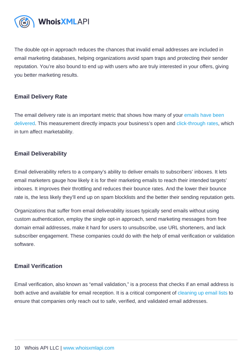The double opt-in approach reduces the chances that invalid email addresses are included in email marketing databases, helping organizations avoid spam traps and protecting their sender reputation. You're also bound to end up with users who are truly interested in your offers, giving you better marketing results.

# Email Delivery Rate

The email delivery rate is an important metric that shows how many of your emails have been [delivered.](https://emailverification.whoisxmlapi.com/blog/5-things-you-should-never-do-when-sending-emails-for-optimal-delivery) This measurement directly impacts your business's open and [click-through rates,](https://www.investopedia.com/terms/c/clickthroughrates.asp) which in turn affect marketability.

# Email Deliverability

Email deliverability refers to a company's ability to deliver emails to subscribers' inboxes. It lets email marketers gauge how likely it is for their marketing emails to reach their intended targets' inboxes. It improves their throttling and reduces their bounce rates. And the lower their bounce rate is, the less likely they'll end up on spam blocklists and the better their sending reputation gets.

Organizations that suffer from email deliverability issues typically send emails without using custom authentication, employ the single opt-in approach, send marketing messages from free domain email addresses, make it hard for users to unsubscribe, use URL shorteners, and lack subscriber engagement. These companies could do with the help of email verification or validation software.

#### Email Verification

Email verification, also known as "email validation," is a process that checks if an email address is both active and available for email reception. It is a critical component of [cleaning up email lists](https://emailverification.whoisxmlapi.com/blog/how-to-clean-your-email-list-with-the-help-of-email-verification-software) to ensure that companies only reach out to safe, verified, and validated email addresses.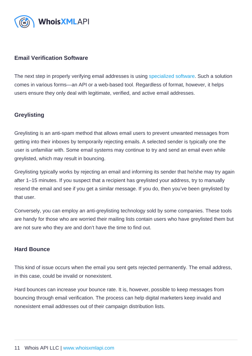# Email Verification Software

The next step in properly verifying email addresses is using [specialized software](https://emailverification.whoisxmlapi.com/). Such a solution comes in various forms—an API or a web-based tool. Regardless of format, however, it helps users ensure they only deal with legitimate, verified, and active email addresses.

# **Greylisting**

Greylisting is an anti-spam method that allows email users to prevent unwanted messages from getting into their inboxes by temporarily rejecting emails. A selected sender is typically one the user is unfamiliar with. Some email systems may continue to try and send an email even while greylisted, which may result in bouncing.

Greylisting typically works by rejecting an email and informing its sender that he/she may try again after 1–15 minutes. If you suspect that a recipient has greylisted your address, try to manually resend the email and see if you get a similar message. If you do, then you've been greylisted by that user.

Conversely, you can employ an anti-greylisting technology sold by some companies. These tools are handy for those who are worried their mailing lists contain users who have greylisted them but are not sure who they are and don't have the time to find out.

# Hard Bounce

This kind of issue occurs when the email you sent gets rejected permanently. The email address, in this case, could be invalid or nonexistent.

Hard bounces can increase your bounce rate. It is, however, possible to keep messages from bouncing through email verification. The process can help digital marketers keep invalid and nonexistent email addresses out of their campaign distribution lists.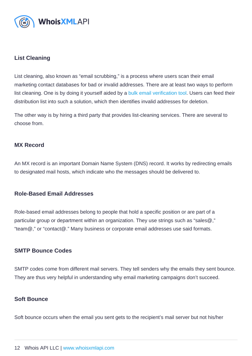### List Cleaning

List cleaning, also known as "email scrubbing," is a process where users scan their email marketing contact databases for bad or invalid addresses. There are at least two ways to perform list cleaning. One is by doing it yourself aided by a [bulk email verification tool.](https://emailverification.whoisxmlapi.com/bulk-api) Users can feed their distribution list into such a solution, which then identifies invalid addresses for deletion.

The other way is by hiring a third party that provides list-cleaning services. There are several to choose from.

#### MX Record

An MX record is an important Domain Name System (DNS) record. It works by redirecting emails to designated mail hosts, which indicate who the messages should be delivered to.

#### Role-Based Email Addresses

Role-based email addresses belong to people that hold a specific position or are part of a particular group or department within an organization. They use strings such as "sales@," "team@," or "contact@." Many business or corporate email addresses use said formats.

# SMTP Bounce Codes

SMTP codes come from different mail servers. They tell senders why the emails they sent bounce. They are thus very helpful in understanding why email marketing campaigns don't succeed.

#### Soft Bounce

Soft bounce occurs when the email you sent gets to the recipient's mail server but not his/her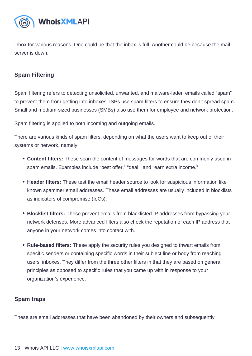inbox for various reasons. One could be that the inbox is full. Another could be because the mail server is down.

# Spam Filtering

Spam filtering refers to detecting unsolicited, unwanted, and malware-laden emails called "spam" to prevent them from getting into inboxes. ISPs use spam filters to ensure they don't spread spam. Small and medium-sized businesses (SMBs) also use them for employee and network protection.

Spam filtering is applied to both incoming and outgoing emails.

There are various kinds of spam filters, depending on what the users want to keep out of their systems or network, namely:

- Content filters: These scan the content of messages for words that are commonly used in spam emails. Examples include "best offer," "deal," and "earn extra income."
- Header filters: These test the email header source to look for suspicious information like known spammer email addresses. These email addresses are usually included in blocklists as indicators of compromise (IoCs).
- Blocklist filters: These prevent emails from blacklisted IP addresses from bypassing your network defenses. More advanced filters also check the reputation of each IP address that anyone in your network comes into contact with.
- Rule-based filters: These apply the security rules you designed to thwart emails from specific senders or containing specific words in their subject line or body from reaching users' inboxes. They differ from the three other filters in that they are based on general principles as opposed to specific rules that you came up with in response to your organization's experience.

#### Spam traps

These are email addresses that have been abandoned by their owners and subsequently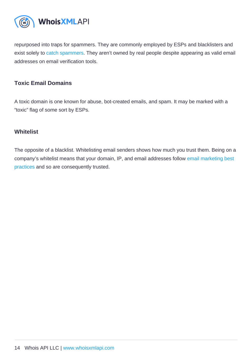repurposed into traps for spammers. They are commonly employed by ESPs and blacklisters and exist solely to [catch spammers](https://www.technologyreview.com/s/414354/catching-spammers-in-the-act/). They aren't owned by real people despite appearing as valid email addresses on email verification tools.

# Toxic Email Domains

A toxic domain is one known for abuse, bot-created emails, and spam. It may be marked with a "toxic" flag of some sort by ESPs.

### **Whitelist**

The opposite of a blacklist. Whitelisting email senders shows how much you trust them. Being on a company's whitelist means that your domain, IP, and email addresses follow [email marketing best](https://sendloop.com/articles/email-marketing-best-practices-for-2019/?utm_campaign=Submission&utm_medium=Community&utm_source=GrowthHackers.com)  [practices](https://sendloop.com/articles/email-marketing-best-practices-for-2019/?utm_campaign=Submission&utm_medium=Community&utm_source=GrowthHackers.com) and so are consequently trusted.